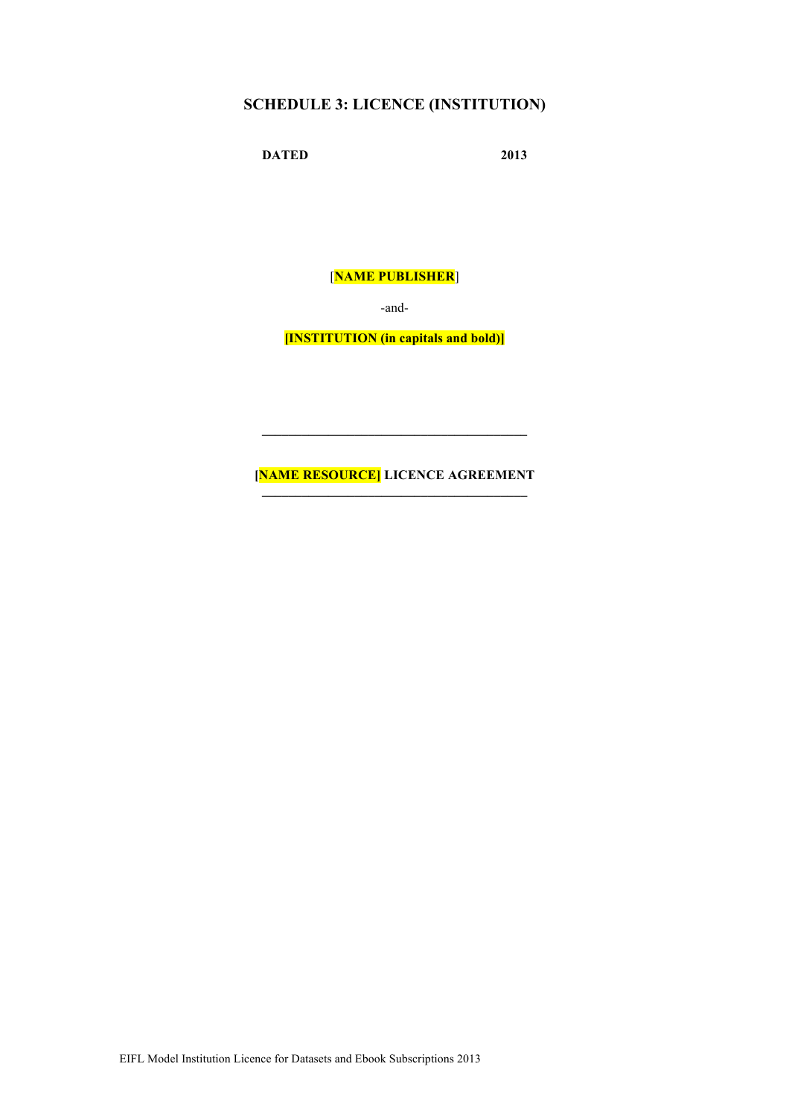# **SCHEDULE 3: LICENCE (INSTITUTION)**

**DATED 2013**

[**NAME PUBLISHER**]

-and-

**[INSTITUTION (in capitals and bold)]**

# **[NAME RESOURCE] LICENCE AGREEMENT**

 $\mathcal{L}=\{1,2,3,4,5\}$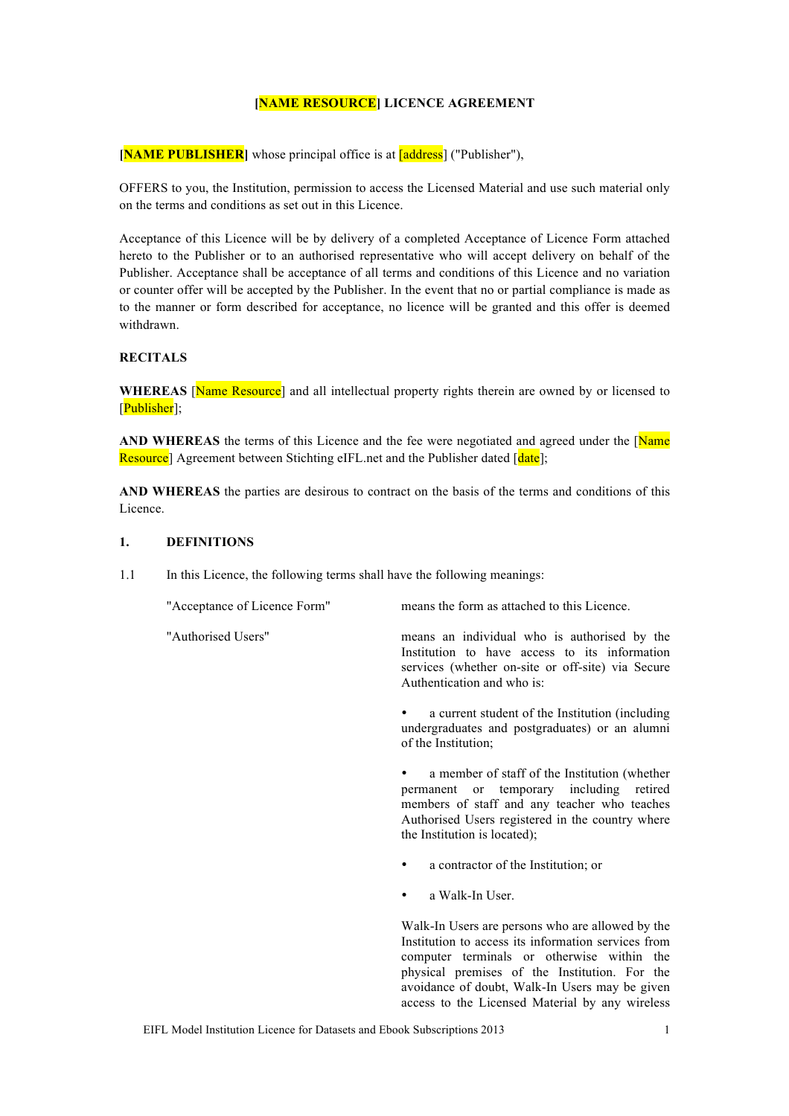#### **[NAME RESOURCE] LICENCE AGREEMENT**

**[NAME PUBLISHER]** whose principal office is at **[address]** ("Publisher"),

OFFERS to you, the Institution, permission to access the Licensed Material and use such material only on the terms and conditions as set out in this Licence.

Acceptance of this Licence will be by delivery of a completed Acceptance of Licence Form attached hereto to the Publisher or to an authorised representative who will accept delivery on behalf of the Publisher. Acceptance shall be acceptance of all terms and conditions of this Licence and no variation or counter offer will be accepted by the Publisher. In the event that no or partial compliance is made as to the manner or form described for acceptance, no licence will be granted and this offer is deemed withdrawn.

## **RECITALS**

WHEREAS **Name Resource**] and all intellectual property rights therein are owned by or licensed to [Publisher];

AND WHEREAS the terms of this Licence and the fee were negotiated and agreed under the [Name] Resource] Agreement between Stichting eIFL net and the Publisher dated [date]:

**AND WHEREAS** the parties are desirous to contract on the basis of the terms and conditions of this Licence.

#### **1. DEFINITIONS**

1.1 In this Licence, the following terms shall have the following meanings:

"Acceptance of Licence Form" means the form as attached to this Licence. "Authorised Users" means an individual who is authorised by the Institution to have access to its information services (whether on-site or off-site) via Secure Authentication and who is: a current student of the Institution (including undergraduates and postgraduates) or an alumni of the Institution;

a member of staff of the Institution (whether permanent or temporary including retired members of staff and any teacher who teaches Authorised Users registered in the country where the Institution is located);

- a contractor of the Institution; or
- a Walk-In User.

Walk-In Users are persons who are allowed by the Institution to access its information services from computer terminals or otherwise within the physical premises of the Institution. For the avoidance of doubt, Walk-In Users may be given access to the Licensed Material by any wireless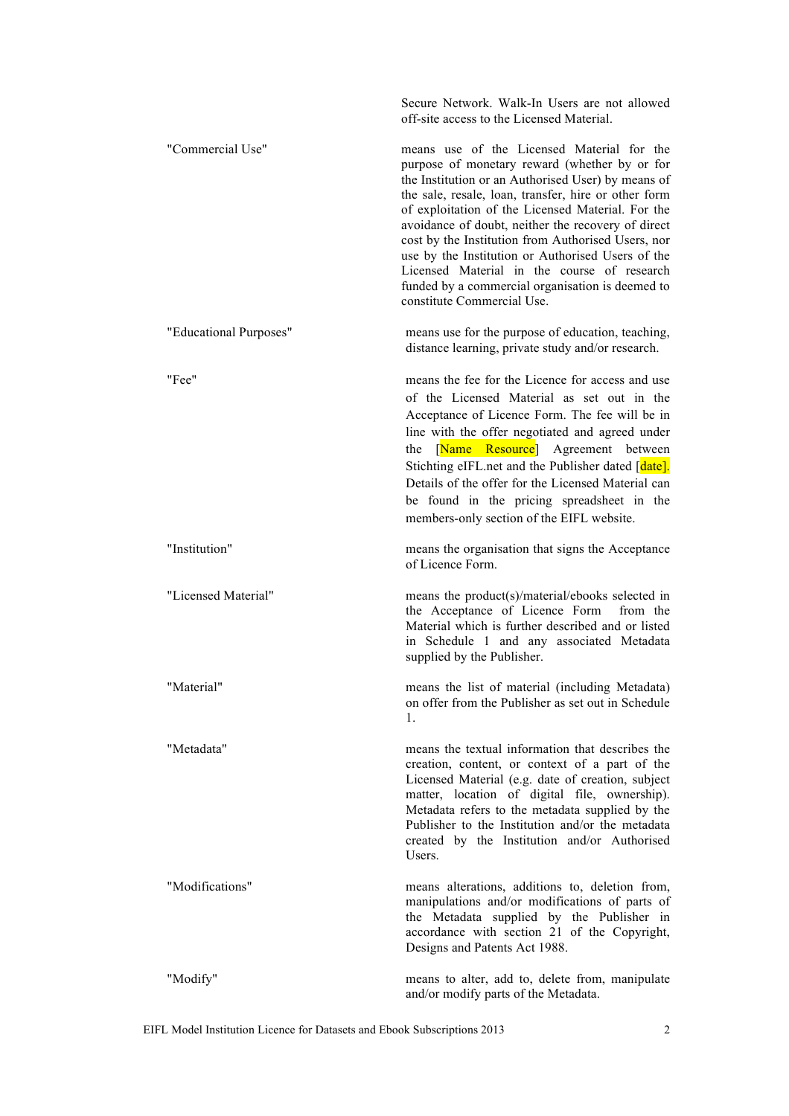|                        | Secure Network. Walk-In Users are not allowed<br>off-site access to the Licensed Material.                                                                                                                                                                                                                                                                                                                                                                                                                                                                       |
|------------------------|------------------------------------------------------------------------------------------------------------------------------------------------------------------------------------------------------------------------------------------------------------------------------------------------------------------------------------------------------------------------------------------------------------------------------------------------------------------------------------------------------------------------------------------------------------------|
| "Commercial Use"       | means use of the Licensed Material for the<br>purpose of monetary reward (whether by or for<br>the Institution or an Authorised User) by means of<br>the sale, resale, loan, transfer, hire or other form<br>of exploitation of the Licensed Material. For the<br>avoidance of doubt, neither the recovery of direct<br>cost by the Institution from Authorised Users, nor<br>use by the Institution or Authorised Users of the<br>Licensed Material in the course of research<br>funded by a commercial organisation is deemed to<br>constitute Commercial Use. |
| "Educational Purposes" | means use for the purpose of education, teaching,<br>distance learning, private study and/or research.                                                                                                                                                                                                                                                                                                                                                                                                                                                           |
| "Fee"                  | means the fee for the Licence for access and use<br>of the Licensed Material as set out in the<br>Acceptance of Licence Form. The fee will be in<br>line with the offer negotiated and agreed under<br>[Name Resource] Agreement between<br>the<br>Stichting eIFL net and the Publisher dated [date].<br>Details of the offer for the Licensed Material can<br>be found in the pricing spreadsheet in the<br>members-only section of the EIFL website.                                                                                                           |
| "Institution"          | means the organisation that signs the Acceptance<br>of Licence Form.                                                                                                                                                                                                                                                                                                                                                                                                                                                                                             |
| "Licensed Material"    | means the product(s)/material/ebooks selected in<br>the Acceptance of Licence Form<br>from the<br>Material which is further described and or listed<br>in Schedule 1 and any associated Metadata<br>supplied by the Publisher.                                                                                                                                                                                                                                                                                                                                   |
| "Material"             | means the list of material (including Metadata)<br>on offer from the Publisher as set out in Schedule<br>$\mathbf{1}$ .                                                                                                                                                                                                                                                                                                                                                                                                                                          |
| "Metadata"             | means the textual information that describes the<br>creation, content, or context of a part of the<br>Licensed Material (e.g. date of creation, subject<br>matter, location of digital file, ownership).<br>Metadata refers to the metadata supplied by the<br>Publisher to the Institution and/or the metadata<br>created by the Institution and/or Authorised<br>Users.                                                                                                                                                                                        |
| "Modifications"        | means alterations, additions to, deletion from,<br>manipulations and/or modifications of parts of<br>the Metadata supplied by the Publisher in<br>accordance with section 21 of the Copyright,<br>Designs and Patents Act 1988.                                                                                                                                                                                                                                                                                                                                  |
| "Modify"               | means to alter, add to, delete from, manipulate<br>and/or modify parts of the Metadata.                                                                                                                                                                                                                                                                                                                                                                                                                                                                          |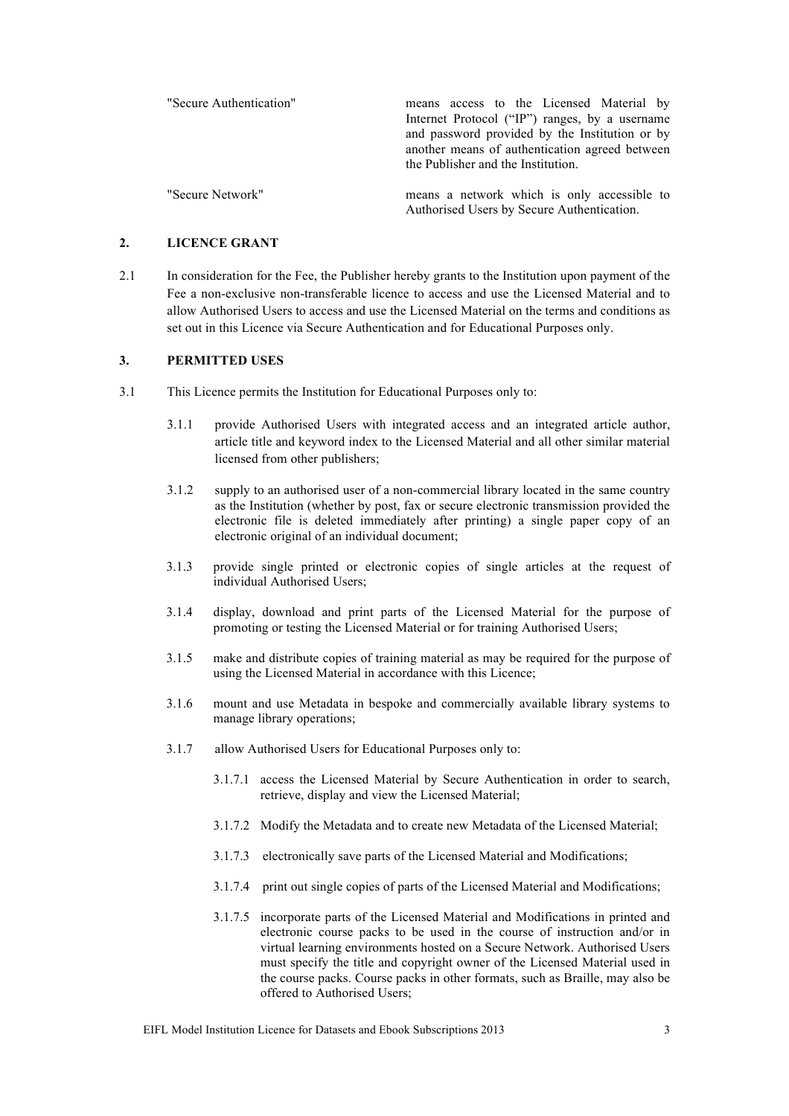| "Secure Authentication" | means access to the Licensed Material by<br>Internet Protocol ("IP") ranges, by a username<br>and password provided by the Institution or by<br>another means of authentication agreed between<br>the Publisher and the Institution. |
|-------------------------|--------------------------------------------------------------------------------------------------------------------------------------------------------------------------------------------------------------------------------------|
| "Secure Network"        | means a network which is only accessible to<br>Authorised Users by Secure Authentication.                                                                                                                                            |

## **2. LICENCE GRANT**

2.1 In consideration for the Fee, the Publisher hereby grants to the Institution upon payment of the Fee a non-exclusive non-transferable licence to access and use the Licensed Material and to allow Authorised Users to access and use the Licensed Material on the terms and conditions as set out in this Licence via Secure Authentication and for Educational Purposes only.

#### **3. PERMITTED USES**

- 3.1 This Licence permits the Institution for Educational Purposes only to:
	- 3.1.1 provide Authorised Users with integrated access and an integrated article author, article title and keyword index to the Licensed Material and all other similar material licensed from other publishers;
	- 3.1.2 supply to an authorised user of a non-commercial library located in the same country as the Institution (whether by post, fax or secure electronic transmission provided the electronic file is deleted immediately after printing) a single paper copy of an electronic original of an individual document;
	- 3.1.3 provide single printed or electronic copies of single articles at the request of individual Authorised Users;
	- 3.1.4 display, download and print parts of the Licensed Material for the purpose of promoting or testing the Licensed Material or for training Authorised Users;
	- 3.1.5 make and distribute copies of training material as may be required for the purpose of using the Licensed Material in accordance with this Licence;
	- 3.1.6 mount and use Metadata in bespoke and commercially available library systems to manage library operations;
	- 3.1.7 allow Authorised Users for Educational Purposes only to:
		- 3.1.7.1 access the Licensed Material by Secure Authentication in order to search, retrieve, display and view the Licensed Material;
		- 3.1.7.2 Modify the Metadata and to create new Metadata of the Licensed Material;
		- 3.1.7.3 electronically save parts of the Licensed Material and Modifications;
		- 3.1.7.4 print out single copies of parts of the Licensed Material and Modifications;
		- 3.1.7.5 incorporate parts of the Licensed Material and Modifications in printed and electronic course packs to be used in the course of instruction and/or in virtual learning environments hosted on a Secure Network. Authorised Users must specify the title and copyright owner of the Licensed Material used in the course packs. Course packs in other formats, such as Braille, may also be offered to Authorised Users;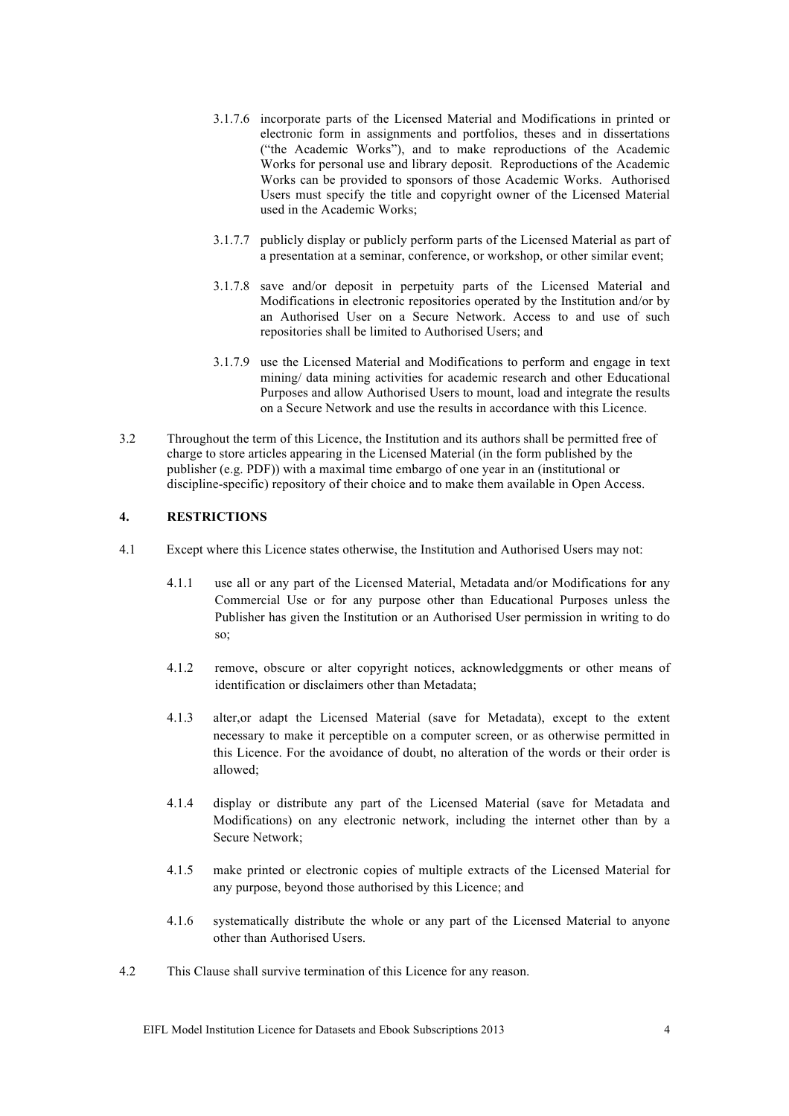- 3.1.7.6 incorporate parts of the Licensed Material and Modifications in printed or electronic form in assignments and portfolios, theses and in dissertations ("the Academic Works"), and to make reproductions of the Academic Works for personal use and library deposit. Reproductions of the Academic Works can be provided to sponsors of those Academic Works. Authorised Users must specify the title and copyright owner of the Licensed Material used in the Academic Works;
- 3.1.7.7 publicly display or publicly perform parts of the Licensed Material as part of a presentation at a seminar, conference, or workshop, or other similar event;
- 3.1.7.8 save and/or deposit in perpetuity parts of the Licensed Material and Modifications in electronic repositories operated by the Institution and/or by an Authorised User on a Secure Network. Access to and use of such repositories shall be limited to Authorised Users; and
- 3.1.7.9 use the Licensed Material and Modifications to perform and engage in text mining/ data mining activities for academic research and other Educational Purposes and allow Authorised Users to mount, load and integrate the results on a Secure Network and use the results in accordance with this Licence.
- 3.2 Throughout the term of this Licence, the Institution and its authors shall be permitted free of charge to store articles appearing in the Licensed Material (in the form published by the publisher (e.g. PDF)) with a maximal time embargo of one year in an (institutional or discipline-specific) repository of their choice and to make them available in Open Access.

#### **4. RESTRICTIONS**

- 4.1 Except where this Licence states otherwise, the Institution and Authorised Users may not:
	- 4.1.1 use all or any part of the Licensed Material, Metadata and/or Modifications for any Commercial Use or for any purpose other than Educational Purposes unless the Publisher has given the Institution or an Authorised User permission in writing to do so;
	- 4.1.2 remove, obscure or alter copyright notices, acknowledggments or other means of identification or disclaimers other than Metadata;
	- 4.1.3 alter,or adapt the Licensed Material (save for Metadata), except to the extent necessary to make it perceptible on a computer screen, or as otherwise permitted in this Licence. For the avoidance of doubt, no alteration of the words or their order is allowed;
	- 4.1.4 display or distribute any part of the Licensed Material (save for Metadata and Modifications) on any electronic network, including the internet other than by a Secure Network;
	- 4.1.5 make printed or electronic copies of multiple extracts of the Licensed Material for any purpose, beyond those authorised by this Licence; and
	- 4.1.6 systematically distribute the whole or any part of the Licensed Material to anyone other than Authorised Users.
- 4.2 This Clause shall survive termination of this Licence for any reason.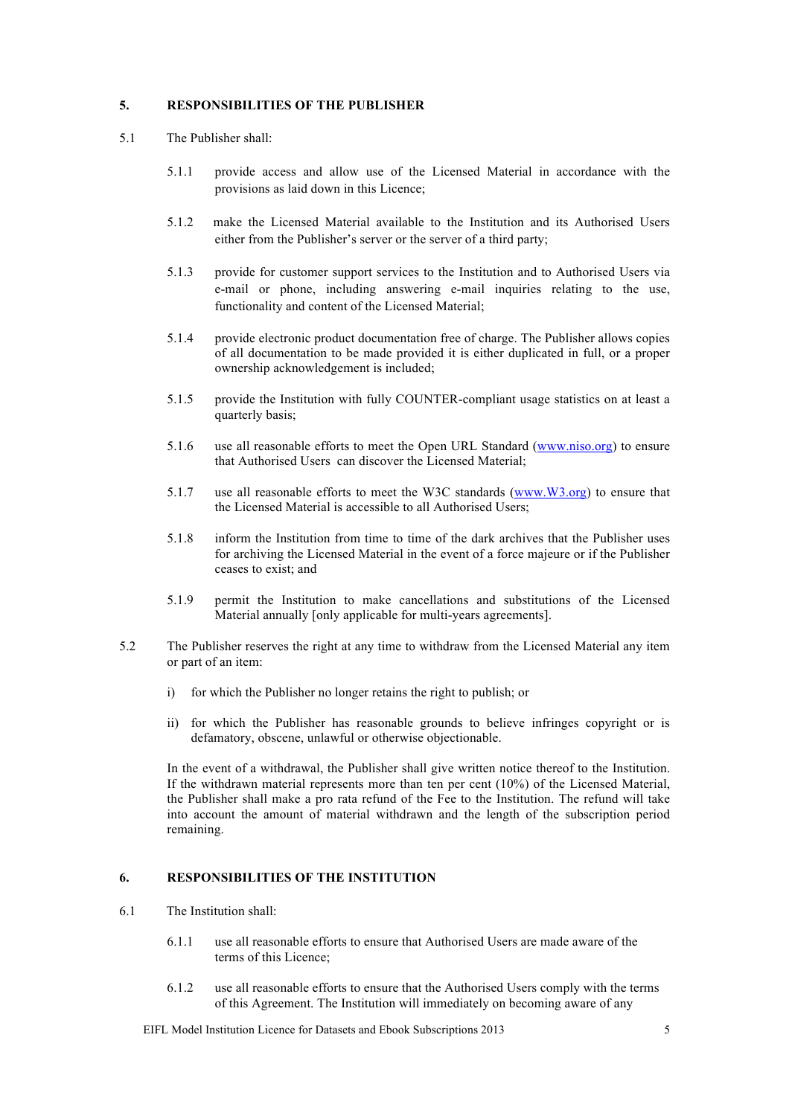#### **5. RESPONSIBILITIES OF THE PUBLISHER**

- 5.1 The Publisher shall:
	- 5.1.1 provide access and allow use of the Licensed Material in accordance with the provisions as laid down in this Licence;
	- 5.1.2 make the Licensed Material available to the Institution and its Authorised Users either from the Publisher's server or the server of a third party;
	- 5.1.3 provide for customer support services to the Institution and to Authorised Users via e-mail or phone, including answering e-mail inquiries relating to the use, functionality and content of the Licensed Material;
	- 5.1.4 provide electronic product documentation free of charge. The Publisher allows copies of all documentation to be made provided it is either duplicated in full, or a proper ownership acknowledgement is included;
	- 5.1.5 provide the Institution with fully COUNTER-compliant usage statistics on at least a quarterly basis;
	- 5.1.6 use all reasonable efforts to meet the Open URL Standard (www.niso.org) to ensure that Authorised Users can discover the Licensed Material;
	- 5.1.7 use all reasonable efforts to meet the W3C standards (www.W3.org) to ensure that the Licensed Material is accessible to all Authorised Users;
	- 5.1.8 inform the Institution from time to time of the dark archives that the Publisher uses for archiving the Licensed Material in the event of a force majeure or if the Publisher ceases to exist; and
	- 5.1.9 permit the Institution to make cancellations and substitutions of the Licensed Material annually [only applicable for multi-years agreements].
- 5.2 The Publisher reserves the right at any time to withdraw from the Licensed Material any item or part of an item:
	- i) for which the Publisher no longer retains the right to publish; or
	- ii) for which the Publisher has reasonable grounds to believe infringes copyright or is defamatory, obscene, unlawful or otherwise objectionable.

In the event of a withdrawal, the Publisher shall give written notice thereof to the Institution. If the withdrawn material represents more than ten per cent (10%) of the Licensed Material, the Publisher shall make a pro rata refund of the Fee to the Institution. The refund will take into account the amount of material withdrawn and the length of the subscription period remaining.

#### **6. RESPONSIBILITIES OF THE INSTITUTION**

- 6.1 The Institution shall:
	- 6.1.1 use all reasonable efforts to ensure that Authorised Users are made aware of the terms of this Licence;
	- 6.1.2 use all reasonable efforts to ensure that the Authorised Users comply with the terms of this Agreement. The Institution will immediately on becoming aware of any

EIFL Model Institution Licence for Datasets and Ebook Subscriptions 2013 5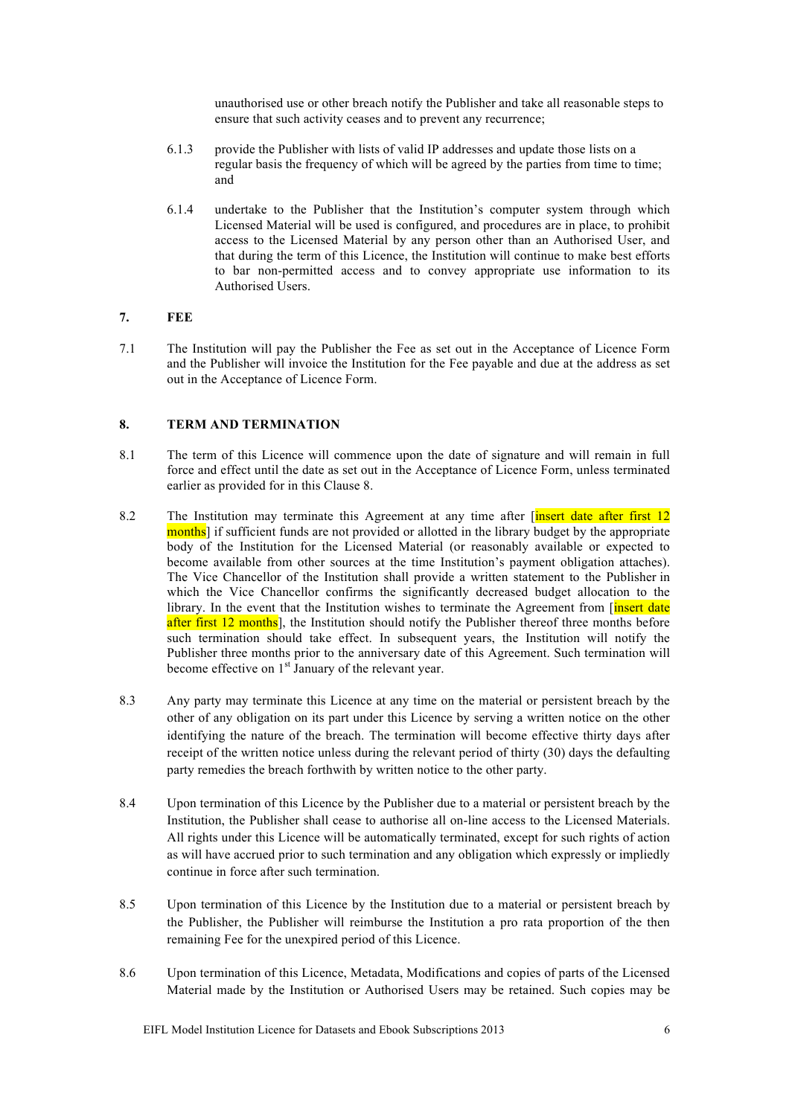unauthorised use or other breach notify the Publisher and take all reasonable steps to ensure that such activity ceases and to prevent any recurrence;

- 6.1.3 provide the Publisher with lists of valid IP addresses and update those lists on a regular basis the frequency of which will be agreed by the parties from time to time; and
- 6.1.4 undertake to the Publisher that the Institution's computer system through which Licensed Material will be used is configured, and procedures are in place, to prohibit access to the Licensed Material by any person other than an Authorised User, and that during the term of this Licence, the Institution will continue to make best efforts to bar non-permitted access and to convey appropriate use information to its Authorised Users.

## **7. FEE**

7.1 The Institution will pay the Publisher the Fee as set out in the Acceptance of Licence Form and the Publisher will invoice the Institution for the Fee payable and due at the address as set out in the Acceptance of Licence Form.

## **8. TERM AND TERMINATION**

- 8.1 The term of this Licence will commence upon the date of signature and will remain in full force and effect until the date as set out in the Acceptance of Licence Form, unless terminated earlier as provided for in this Clause 8.
- 8.2 The Institution may terminate this Agreement at any time after *finsert date after first* 12 months] if sufficient funds are not provided or allotted in the library budget by the appropriate body of the Institution for the Licensed Material (or reasonably available or expected to become available from other sources at the time Institution's payment obligation attaches). The Vice Chancellor of the Institution shall provide a written statement to the Publisher in which the Vice Chancellor confirms the significantly decreased budget allocation to the library. In the event that the Institution wishes to terminate the Agreement from  $\frac{1}{\sqrt{1-\frac{1}{\sqrt{1-\frac{1}{\sqrt{1-\frac{1}{\sqrt{1-\frac{1}{\sqrt{1-\frac{1}{\sqrt{1-\frac{1}{\sqrt{1-\frac{1}{\sqrt{1-\frac{1}{\sqrt{1-\frac{1}{\sqrt{1-\frac{1}{\sqrt{1-\frac{1}{\sqrt{1-\frac{1}{\sqrt{1-\frac{1}{\sqrt{1-\frac{1}{\sqrt{1-\frac{$ after first 12 months], the Institution should notify the Publisher thereof three months before such termination should take effect. In subsequent years, the Institution will notify the Publisher three months prior to the anniversary date of this Agreement. Such termination will become effective on  $1<sup>st</sup>$  January of the relevant year.
- 8.3 Any party may terminate this Licence at any time on the material or persistent breach by the other of any obligation on its part under this Licence by serving a written notice on the other identifying the nature of the breach. The termination will become effective thirty days after receipt of the written notice unless during the relevant period of thirty (30) days the defaulting party remedies the breach forthwith by written notice to the other party.
- 8.4 Upon termination of this Licence by the Publisher due to a material or persistent breach by the Institution, the Publisher shall cease to authorise all on-line access to the Licensed Materials. All rights under this Licence will be automatically terminated, except for such rights of action as will have accrued prior to such termination and any obligation which expressly or impliedly continue in force after such termination.
- 8.5 Upon termination of this Licence by the Institution due to a material or persistent breach by the Publisher, the Publisher will reimburse the Institution a pro rata proportion of the then remaining Fee for the unexpired period of this Licence.
- 8.6 Upon termination of this Licence, Metadata, Modifications and copies of parts of the Licensed Material made by the Institution or Authorised Users may be retained. Such copies may be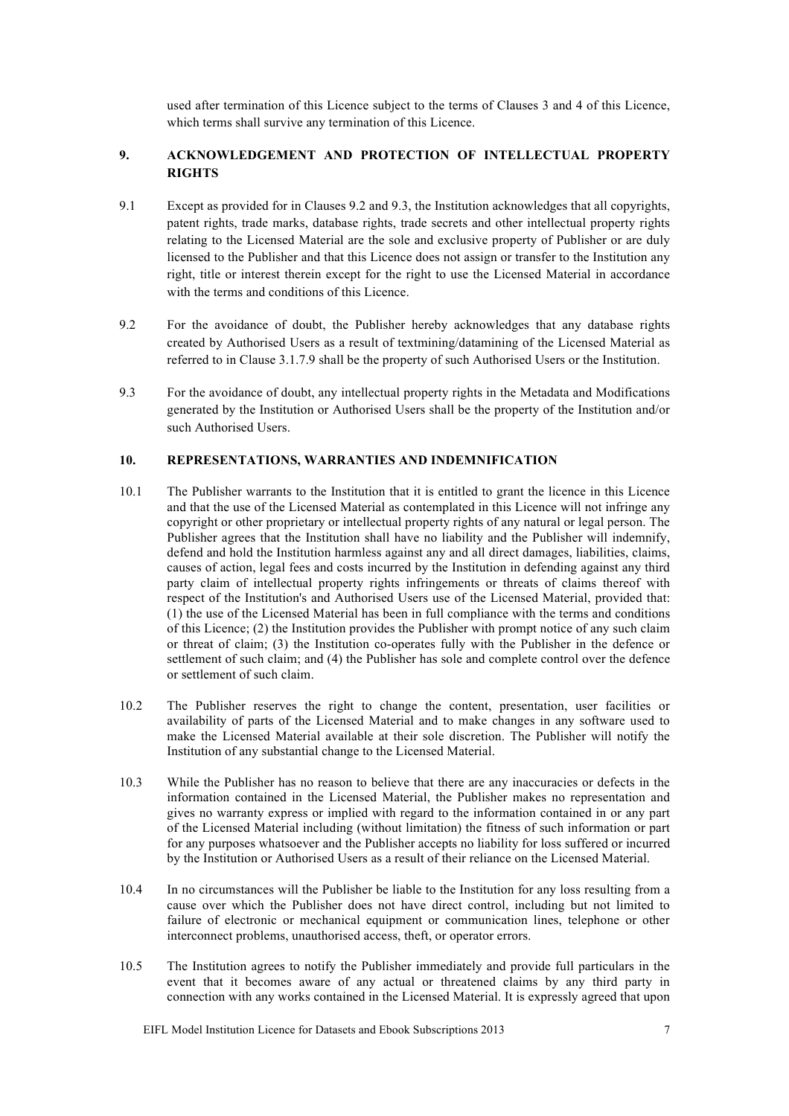used after termination of this Licence subject to the terms of Clauses 3 and 4 of this Licence, which terms shall survive any termination of this Licence.

## **9. ACKNOWLEDGEMENT AND PROTECTION OF INTELLECTUAL PROPERTY RIGHTS**

- 9.1 Except as provided for in Clauses 9.2 and 9.3, the Institution acknowledges that all copyrights, patent rights, trade marks, database rights, trade secrets and other intellectual property rights relating to the Licensed Material are the sole and exclusive property of Publisher or are duly licensed to the Publisher and that this Licence does not assign or transfer to the Institution any right, title or interest therein except for the right to use the Licensed Material in accordance with the terms and conditions of this Licence.
- 9.2 For the avoidance of doubt, the Publisher hereby acknowledges that any database rights created by Authorised Users as a result of textmining/datamining of the Licensed Material as referred to in Clause 3.1.7.9 shall be the property of such Authorised Users or the Institution.
- 9.3 For the avoidance of doubt, any intellectual property rights in the Metadata and Modifications generated by the Institution or Authorised Users shall be the property of the Institution and/or such Authorised Users.

#### **10. REPRESENTATIONS, WARRANTIES AND INDEMNIFICATION**

- 10.1 The Publisher warrants to the Institution that it is entitled to grant the licence in this Licence and that the use of the Licensed Material as contemplated in this Licence will not infringe any copyright or other proprietary or intellectual property rights of any natural or legal person. The Publisher agrees that the Institution shall have no liability and the Publisher will indemnify, defend and hold the Institution harmless against any and all direct damages, liabilities, claims, causes of action, legal fees and costs incurred by the Institution in defending against any third party claim of intellectual property rights infringements or threats of claims thereof with respect of the Institution's and Authorised Users use of the Licensed Material, provided that: (1) the use of the Licensed Material has been in full compliance with the terms and conditions of this Licence; (2) the Institution provides the Publisher with prompt notice of any such claim or threat of claim; (3) the Institution co-operates fully with the Publisher in the defence or settlement of such claim; and (4) the Publisher has sole and complete control over the defence or settlement of such claim.
- 10.2 The Publisher reserves the right to change the content, presentation, user facilities or availability of parts of the Licensed Material and to make changes in any software used to make the Licensed Material available at their sole discretion. The Publisher will notify the Institution of any substantial change to the Licensed Material.
- 10.3 While the Publisher has no reason to believe that there are any inaccuracies or defects in the information contained in the Licensed Material, the Publisher makes no representation and gives no warranty express or implied with regard to the information contained in or any part of the Licensed Material including (without limitation) the fitness of such information or part for any purposes whatsoever and the Publisher accepts no liability for loss suffered or incurred by the Institution or Authorised Users as a result of their reliance on the Licensed Material.
- 10.4 In no circumstances will the Publisher be liable to the Institution for any loss resulting from a cause over which the Publisher does not have direct control, including but not limited to failure of electronic or mechanical equipment or communication lines, telephone or other interconnect problems, unauthorised access, theft, or operator errors.
- 10.5 The Institution agrees to notify the Publisher immediately and provide full particulars in the event that it becomes aware of any actual or threatened claims by any third party in connection with any works contained in the Licensed Material. It is expressly agreed that upon

EIFL Model Institution Licence for Datasets and Ebook Subscriptions 2013 7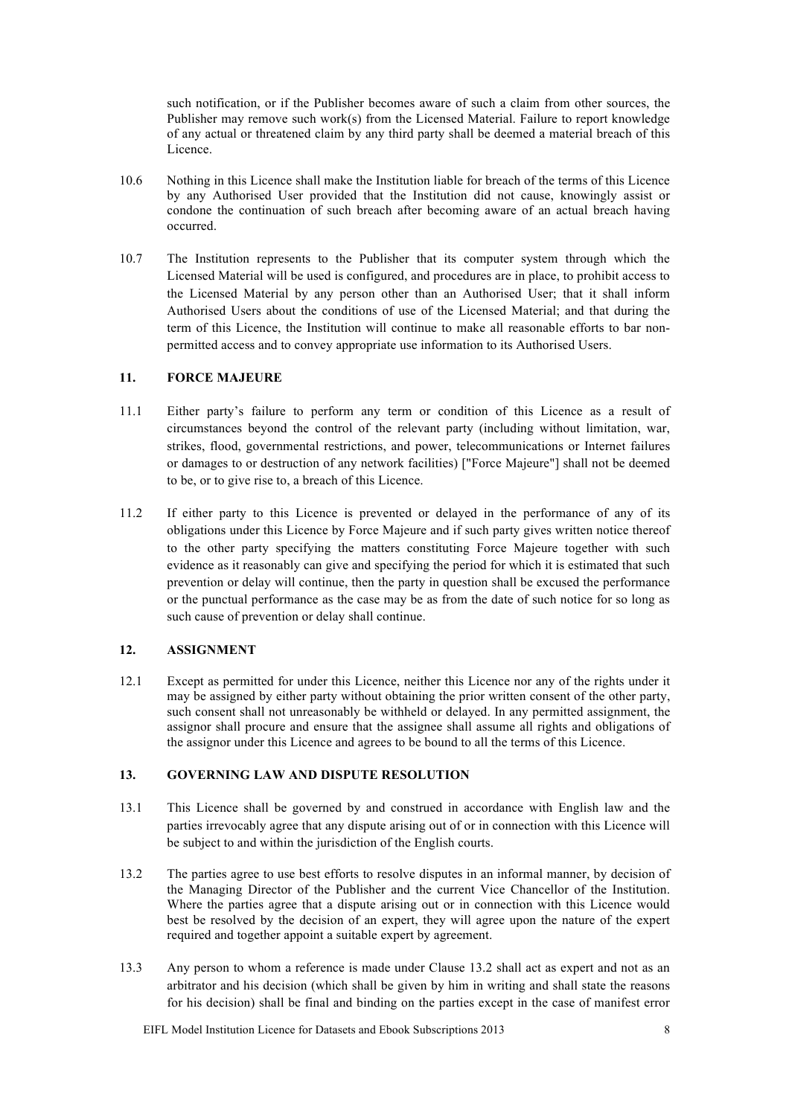such notification, or if the Publisher becomes aware of such a claim from other sources, the Publisher may remove such work(s) from the Licensed Material. Failure to report knowledge of any actual or threatened claim by any third party shall be deemed a material breach of this Licence.

- 10.6 Nothing in this Licence shall make the Institution liable for breach of the terms of this Licence by any Authorised User provided that the Institution did not cause, knowingly assist or condone the continuation of such breach after becoming aware of an actual breach having occurred.
- 10.7 The Institution represents to the Publisher that its computer system through which the Licensed Material will be used is configured, and procedures are in place, to prohibit access to the Licensed Material by any person other than an Authorised User; that it shall inform Authorised Users about the conditions of use of the Licensed Material; and that during the term of this Licence, the Institution will continue to make all reasonable efforts to bar nonpermitted access and to convey appropriate use information to its Authorised Users.

#### **11. FORCE MAJEURE**

- 11.1 Either party's failure to perform any term or condition of this Licence as a result of circumstances beyond the control of the relevant party (including without limitation, war, strikes, flood, governmental restrictions, and power, telecommunications or Internet failures or damages to or destruction of any network facilities) ["Force Majeure"] shall not be deemed to be, or to give rise to, a breach of this Licence.
- 11.2 If either party to this Licence is prevented or delayed in the performance of any of its obligations under this Licence by Force Majeure and if such party gives written notice thereof to the other party specifying the matters constituting Force Majeure together with such evidence as it reasonably can give and specifying the period for which it is estimated that such prevention or delay will continue, then the party in question shall be excused the performance or the punctual performance as the case may be as from the date of such notice for so long as such cause of prevention or delay shall continue.

## **12. ASSIGNMENT**

12.1 Except as permitted for under this Licence, neither this Licence nor any of the rights under it may be assigned by either party without obtaining the prior written consent of the other party, such consent shall not unreasonably be withheld or delayed. In any permitted assignment, the assignor shall procure and ensure that the assignee shall assume all rights and obligations of the assignor under this Licence and agrees to be bound to all the terms of this Licence.

## **13. GOVERNING LAW AND DISPUTE RESOLUTION**

- 13.1 This Licence shall be governed by and construed in accordance with English law and the parties irrevocably agree that any dispute arising out of or in connection with this Licence will be subject to and within the jurisdiction of the English courts.
- 13.2 The parties agree to use best efforts to resolve disputes in an informal manner, by decision of the Managing Director of the Publisher and the current Vice Chancellor of the Institution. Where the parties agree that a dispute arising out or in connection with this Licence would best be resolved by the decision of an expert, they will agree upon the nature of the expert required and together appoint a suitable expert by agreement.
- 13.3 Any person to whom a reference is made under Clause 13.2 shall act as expert and not as an arbitrator and his decision (which shall be given by him in writing and shall state the reasons for his decision) shall be final and binding on the parties except in the case of manifest error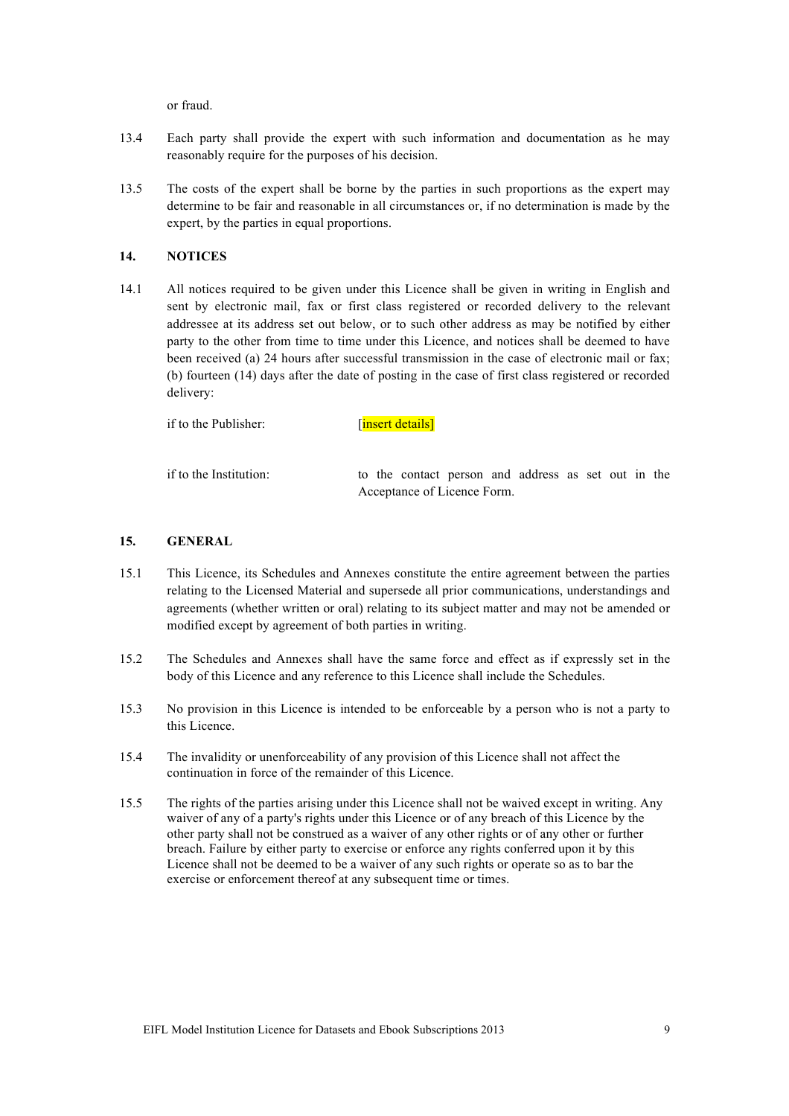or fraud.

- 13.4 Each party shall provide the expert with such information and documentation as he may reasonably require for the purposes of his decision.
- 13.5 The costs of the expert shall be borne by the parties in such proportions as the expert may determine to be fair and reasonable in all circumstances or, if no determination is made by the expert, by the parties in equal proportions.

## **14. NOTICES**

14.1 All notices required to be given under this Licence shall be given in writing in English and sent by electronic mail, fax or first class registered or recorded delivery to the relevant addressee at its address set out below, or to such other address as may be notified by either party to the other from time to time under this Licence, and notices shall be deemed to have been received (a) 24 hours after successful transmission in the case of electronic mail or fax; (b) fourteen (14) days after the date of posting in the case of first class registered or recorded delivery:

| if to the Publisher: | [insert details] |
|----------------------|------------------|
|                      |                  |

if to the Institution: to the contact person and address as set out in the Acceptance of Licence Form.

#### **15. GENERAL**

- 15.1 This Licence, its Schedules and Annexes constitute the entire agreement between the parties relating to the Licensed Material and supersede all prior communications, understandings and agreements (whether written or oral) relating to its subject matter and may not be amended or modified except by agreement of both parties in writing.
- 15.2 The Schedules and Annexes shall have the same force and effect as if expressly set in the body of this Licence and any reference to this Licence shall include the Schedules.
- 15.3 No provision in this Licence is intended to be enforceable by a person who is not a party to this Licence.
- 15.4 The invalidity or unenforceability of any provision of this Licence shall not affect the continuation in force of the remainder of this Licence.
- 15.5 The rights of the parties arising under this Licence shall not be waived except in writing. Any waiver of any of a party's rights under this Licence or of any breach of this Licence by the other party shall not be construed as a waiver of any other rights or of any other or further breach. Failure by either party to exercise or enforce any rights conferred upon it by this Licence shall not be deemed to be a waiver of any such rights or operate so as to bar the exercise or enforcement thereof at any subsequent time or times.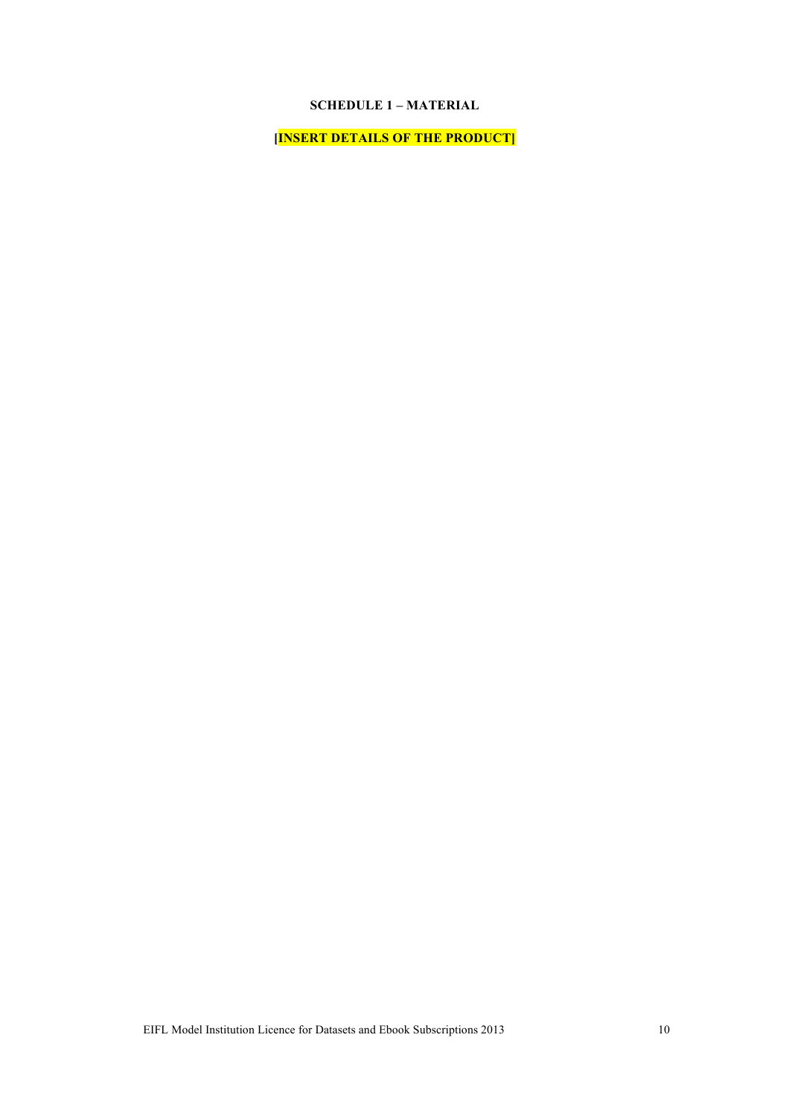## **SCHEDULE 1 – MATERIAL**

**[INSERT DETAILS OF THE PRODUCT]**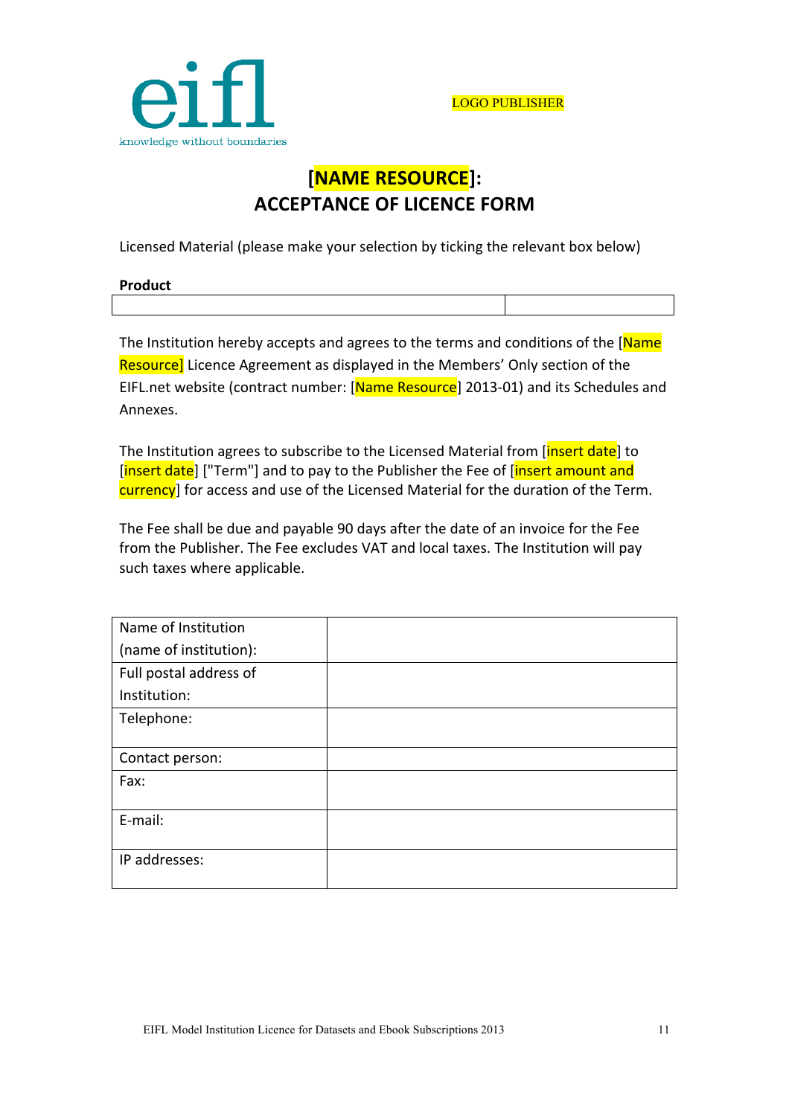

# **[NAME!RESOURCE]: ACCEPTANCE OF LICENCE FORM**

Licensed Material (please make your selection by ticking the relevant box below)

| <b>Product</b> |  |
|----------------|--|
|                |  |

The Institution hereby accepts and agrees to the terms and conditions of the [Name] Resource] Licence Agreement as displayed in the Members' Only section of the EIFL.net website (contract number: [Name Resource] 2013-01) and its Schedules and Annexes.

The Institution agrees to subscribe to the Licensed Material from [insert date] to [insert date] ["Term"] and to pay to the Publisher the Fee of [insert amount and currency] for access and use of the Licensed Material for the duration of the Term.

The Fee shall be due and payable 90 days after the date of an invoice for the Fee from the Publisher. The Fee excludes VAT and local taxes. The Institution will pay such taxes where applicable.

| Name of Institution    |  |
|------------------------|--|
| (name of institution): |  |
| Full postal address of |  |
| Institution:           |  |
| Telephone:             |  |
|                        |  |
| Contact person:        |  |
| Fax:                   |  |
|                        |  |
| E-mail:                |  |
|                        |  |
| IP addresses:          |  |
|                        |  |